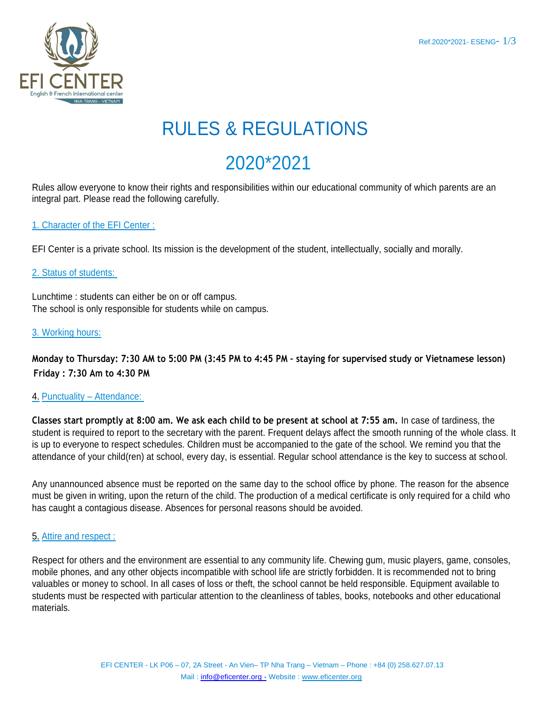

# RULES & REGULATIONS

# 2020\*2021

Rules allow everyone to know their rights and responsibilities within our educational community of which parents are an integral part. Please read the following carefully.

### 1. Character of the EFI Center :

EFI Center is a private school. Its mission is the development of the student, intellectually, socially and morally.

### 2. Status of students:

Lunchtime : students can either be on or off campus. The school is only responsible for students while on campus.

### 3. Working hours:

**Monday to Thursday: 7:30 AM to 5:00 PM (3:45 PM to 4:45 PM – staying for supervised study or Vietnamese lesson) Friday : 7:30 Am to 4:30 PM**

### 4. Punctuality – Attendance:

**Classes start promptly at 8:00 am. We ask each child to be present at school at 7:55 am.** In case of tardiness, the student is required to report to the secretary with the parent. Frequent delays affect the smooth running of the whole class. It is up to everyone to respect schedules. Children must be accompanied to the gate of the school. We remind you that the attendance of your child(ren) at school, every day, is essential. Regular school attendance is the key to success at school.

Any unannounced absence must be reported on the same day to the school office by phone. The reason for the absence must be given in writing, upon the return of the child. The production of a medical certificate is only required for a child who has caught a contagious disease. Absences for personal reasons should be avoided.

### 5. Attire and respect :

Respect for others and the environment are essential to any community life. Chewing gum, music players, game, consoles, mobile phones, and any other objects incompatible with school life are strictly forbidden. It is recommended not to bring valuables or money to school. In all cases of loss or theft, the school cannot be held responsible. Equipment available to students must be respected with particular attention to the cleanliness of tables, books, notebooks and other educational materials.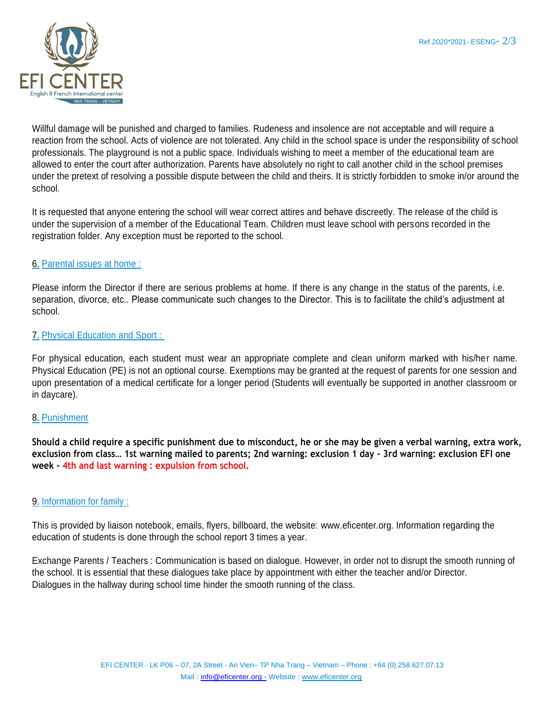

Willful damage will be punished and charged to families. Rudeness and insolence are not acceptable and will require a reaction from the school. Acts of violence are not tolerated. Any child in the school space is under the responsibility of school professionals. The playground is not a public space. Individuals wishing to meet a member of the educational team are allowed to enter the court after authorization. Parents have absolutely no right to call another child in the school premises under the pretext of resolving a possible dispute between the child and theirs. It is strictly forbidden to smoke in/or around the school.

It is requested that anyone entering the school will wear correct attires and behave discreetly. The release of the child is under the supervision of a member of the Educational Team. Children must leave school with persons recorded in the registration folder. Any exception must be reported to the school.

### 6. Parental issues at home :

Please inform the Director if there are serious problems at home. If there is any change in the status of the parents, i.e. separation, divorce, etc.. Please communicate such changes to the Director. This is to facilitate the child's adjustment at school.

#### 7. Physical Education and Sport :

For physical education, each student must wear an appropriate complete and clean uniform marked with his/her name. Physical Education (PE) is not an optional course. Exemptions may be granted at the request of parents for one session and upon presentation of a medical certificate for a longer period (Students will eventually be supported in another classroom or in daycare).

#### 8. Punishment

**Should a child require a specific punishment due to misconduct, he or she may be given a verbal warning, extra work, exclusion from class… 1st warning mailed to parents; 2nd warning: exclusion 1 day - 3rd warning: exclusion EFI one week - 4th and last warning : expulsion from school.**

### 9. Information for family :

This is provided by liaison notebook, emails, flyers, billboard, the website: [www.eficenter.org. I](http://www.eficenter.org/)nformation regarding the education of students is done through the school report 3 times a year.

Exchange Parents / Teachers : Communication is based on dialogue. However, in order not to disrupt the smooth running of the school. It is essential that these dialogues take place by appointment with either the teacher and/or Director. Dialogues in the hallway during school time hinder the smooth running of the class.